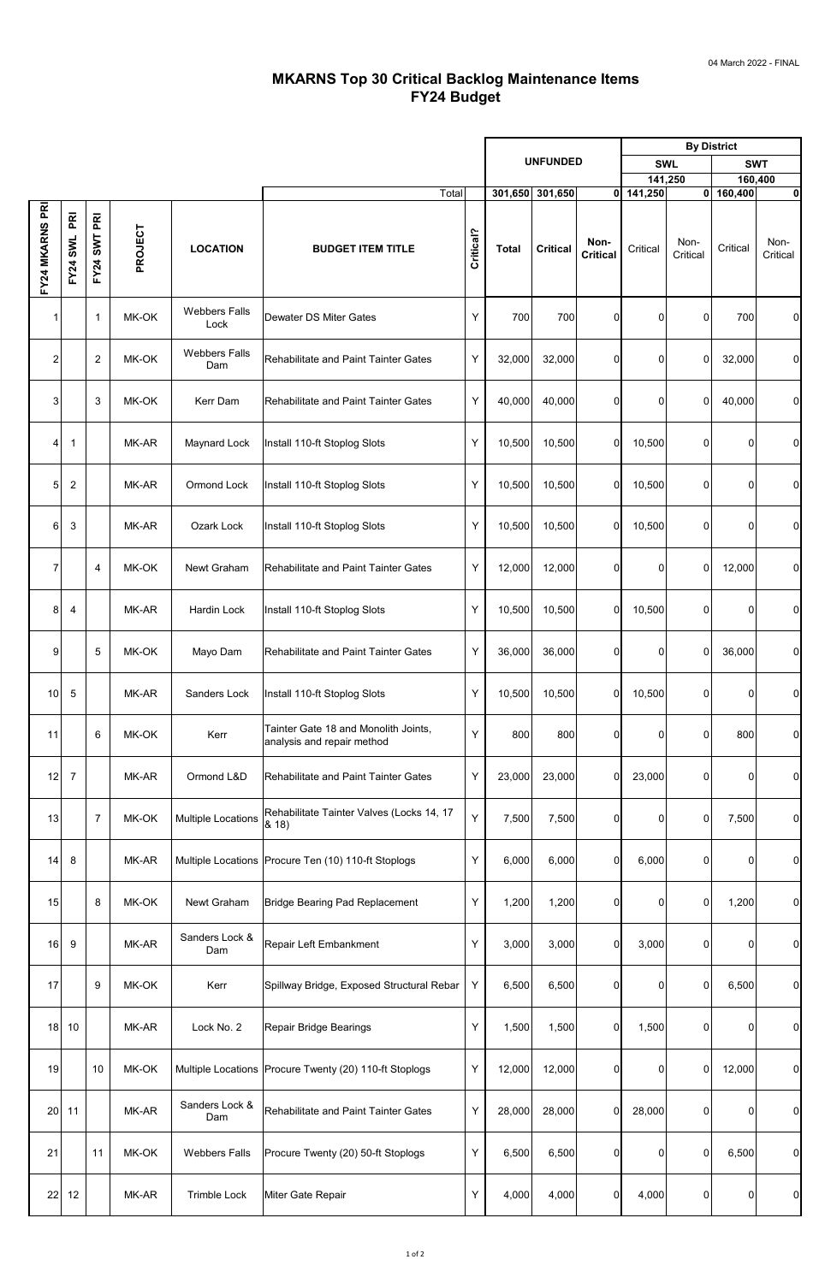|                         |                            |                           |         |                              |                                                                    |           |                 |                 |                         | <b>By District</b>       |                  |             |                  |
|-------------------------|----------------------------|---------------------------|---------|------------------------------|--------------------------------------------------------------------|-----------|-----------------|-----------------|-------------------------|--------------------------|------------------|-------------|------------------|
|                         |                            |                           |         |                              |                                                                    |           | <b>UNFUNDED</b> |                 |                         | <b>SWL</b><br><b>SWT</b> |                  |             |                  |
|                         |                            |                           |         |                              |                                                                    |           |                 |                 |                         | 141,250                  |                  |             | 160,400          |
|                         |                            |                           |         |                              | Total                                                              |           |                 | 301,650 301,650 |                         | $0$ 141,250              |                  | 0 160,400   | 0                |
| FY24 MKARNS PRI         | $\overline{R}$<br>FY24 SWL | PRI<br><b>SWT</b><br>FY24 | PROJECT | <b>LOCATION</b>              | <b>BUDGET ITEM TITLE</b>                                           | Critical? | <b>Total</b>    | <b>Critical</b> | Non-<br><b>Critical</b> | Critical                 | Non-<br>Critical | Critical    | Non-<br>Critical |
| 1                       |                            | 1                         | MK-OK   | <b>Webbers Falls</b><br>Lock | <b>Dewater DS Miter Gates</b>                                      | Υ         | 700             | 700             | 01                      | 0                        | 0                | 700         | $\overline{0}$   |
| $\overline{\mathbf{c}}$ |                            | $\overline{2}$            | MK-OK   | <b>Webbers Falls</b><br>Dam  | <b>Rehabilitate and Paint Tainter Gates</b>                        | Y         | 32,000          | 32,000          | $\overline{0}$          | 0                        | 0                | 32,000      | $\overline{0}$   |
| 3                       |                            | 3                         | MK-OK   | Kerr Dam                     | <b>Rehabilitate and Paint Tainter Gates</b>                        | Y         | 40,000          | 40,000          | 0                       | 0                        | 0                | 40,000      | $\overline{0}$   |
| 4                       | $\mathbf{1}$               |                           | MK-AR   | Maynard Lock                 | Install 110-ft Stoplog Slots                                       | Υ         | 10,500          | 10,500          | $\mathbf{0}$            | 10,500                   | 0                | 0           | $\overline{0}$   |
| 5                       | $\overline{2}$             |                           | MK-AR   | Ormond Lock                  | Install 110-ft Stoplog Slots                                       | Y         | 10,500          | 10,500          | $\overline{0}$          | 10,500                   | 0                | $\pmb{0}$   | $\overline{0}$   |
| $6 \mid$                | 3                          |                           | MK-AR   | Ozark Lock                   | Install 110-ft Stoplog Slots                                       | Υ         | 10,500          | 10,500          | 01                      | 10,500                   | 0                | 0           | $\overline{0}$   |
| $\boldsymbol{7}$        |                            | 4                         | MK-OK   | Newt Graham                  | <b>Rehabilitate and Paint Tainter Gates</b>                        | Y         | 12,000          | 12,000          | $\overline{0}$          | 0                        | 0                | 12,000      | $\overline{0}$   |
| 81                      | 4                          |                           | MK-AR   | Hardin Lock                  | Install 110-ft Stoplog Slots                                       | Y         |                 | 10,500 10,500   | ΩL                      | 10,500                   | ΩI               | $\cap$      | $\Omega$         |
| 9                       |                            | 5                         | MK-OK   | Mayo Dam                     | Rehabilitate and Paint Tainter Gates                               | Y         | 36,000          | 36,000          | 0I                      | 0                        | 0                | 36,000      | $\overline{0}$   |
| 10                      | $\sqrt{5}$                 |                           | MK-AR   | Sanders Lock                 | Install 110-ft Stoplog Slots                                       | Y         | 10,500          | 10,500          | $\overline{0}$          | 10,500                   | $\Omega$         | 0           | $\overline{0}$   |
| 11                      |                            | 6                         | MK-OK   | Kerr                         | Tainter Gate 18 and Monolith Joints,<br>analysis and repair method | Y         | 800             | 800             | ΩI                      | 0                        | 0                | 800         | $\overline{0}$   |
| 12                      | $\overline{7}$             |                           | MK-AR   | Ormond L&D                   | <b>Rehabilitate and Paint Tainter Gates</b>                        | Y         | 23,000          | 23,000          | 0                       | 23,000                   | 0                | 0           | $\overline{0}$   |
| 13                      |                            | $\overline{7}$            | MK-OK   | <b>Multiple Locations</b>    | Rehabilitate Tainter Valves (Locks 14, 17<br>8.18                  | Y         | 7,500           | 7,500           | 01                      | 0                        | 0                | 7,500       | $\overline{0}$   |
| 14                      | 8                          |                           | MK-AR   |                              | Multiple Locations   Procure Ten (10) 110-ft Stoplogs              | Y         | 6,000           | 6,000           | $\Omega$                | 6,000                    | 0                | 0           | $\overline{0}$   |
| 15                      |                            | 8                         | MK-OK   | Newt Graham                  | <b>Bridge Bearing Pad Replacement</b>                              | Y         | 1,200           | 1,200           | 0l                      | 0                        | 0                | 1,200       | $\overline{0}$   |
| 16                      | 9                          |                           | MK-AR   | Sanders Lock &<br>Dam        | Repair Left Embankment                                             | Y         | 3,000           | 3,000           | 0                       | 3,000                    | 0                | 0           | $\overline{0}$   |
| 17                      |                            | 9                         | MK-OK   | Kerr                         | Spillway Bridge, Exposed Structural Rebar                          | Y         | 6,500           | 6,500           | 01                      | 0                        | 0                | 6,500       | $\overline{0}$   |
| 18                      | 10                         |                           | MK-AR   | Lock No. 2                   | Repair Bridge Bearings                                             | Υ         | 1,500           | 1,500           | $\Omega$                | 1,500                    | 0                | $\mathbf 0$ | $\overline{0}$   |
| 19                      |                            | 10                        | MK-OK   |                              | Multiple Locations   Procure Twenty (20) 110-ft Stoplogs           | Y         | 12,000          | 12,000          | ΩI                      | 0                        | 0                | 12,000      | $\overline{0}$   |
| 20                      | 11                         |                           | MK-AR   | Sanders Lock &<br>Dam        | Rehabilitate and Paint Tainter Gates                               | Υ         | 28,000          | 28,000          | 01                      | 28,000                   | 0                | $\mathbf 0$ | $\overline{0}$   |
| 21                      |                            | 11                        | MK-OK   | <b>Webbers Falls</b>         | Procure Twenty (20) 50-ft Stoplogs                                 | Υ         | 6,500           | 6,500           | $\overline{0}$          | $\overline{0}$           | 0                | 6,500       | $\overline{0}$   |
| 22                      | 12                         |                           | MK-AR   | <b>Trimble Lock</b>          | Miter Gate Repair                                                  | Υ         | 4,000           | 4,000           | 01                      | 4,000                    | 0                | $\mathbf 0$ | $\overline{0}$   |

## **MKARNS Top 30 Critical Backlog Maintenance Items FY24 Budget**